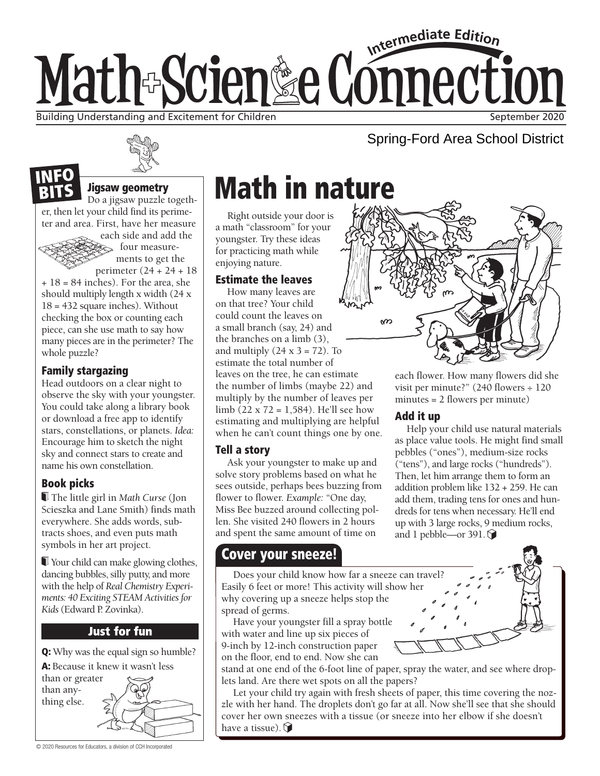# Intermediate Edition Math-Scien&e Connection Building Understanding and Excitement for Children September 2020 (September 2020

## Spring-Ford Area School District

#### Jigsaw geometry

Do a jigsaw puzzle together, then let your child find its perimeter and area. First, have her measure

> each side and add the four measurements to get the perimeter (24 + 24 + 18

+ 18 = 84 inches). For the area, she should multiply length x width (24 x 18 = 432 square inches). Without checking the box or counting each piece, can she use math to say how many pieces are in the perimeter? The whole puzzle?

#### Family stargazing

NEO

Head outdoors on a clear night to observe the sky with your youngster. You could take along a library book or download a free app to identify stars, constellations, or planets. *Idea:* Encourage him to sketch the night sky and connect stars to create and name his own constellation.

#### Book picks

 The little girl in *Math Curse* (Jon Scieszka and Lane Smith) finds math everywhere. She adds words, subtracts shoes, and even puts math symbols in her art project.

 Your child can make glowing clothes, dancing bubbles, silly putty, and more with the help of *Real Chemistry Experiments: 40 Exciting STEAM Activities for Kids* (Edward P. Zovinka).

#### **Just for fun**

Q: Why was the equal sign so humble?

A: Because it knew it wasn't less

than or greater than anything else.

# Math in nature

Right outside your door is a math "classroom" for your youngster. Try these ideas for practicing math while enjoying nature.

#### Estimate the leaves

How many leaves are on that tree? Your child could count the leaves on a small branch (say, 24) and the branches on a limb (3), and multiply  $(24 \times 3 = 72)$ . To estimate the total number of leaves on the tree, he can estimate the number of limbs (maybe 22) and multiply by the number of leaves per limb (22 x 72 = 1,584). He'll see how estimating and multiplying are helpful when he can't count things one by one.

#### Tell a story

Ask your youngster to make up and solve story problems based on what he sees outside, perhaps bees buzzing from flower to flower. *Example:* "One day, Miss Bee buzzed around collecting pollen. She visited 240 flowers in 2 hours and spent the same amount of time on

### Cover your sneeze!

Does your child know how far a sneeze can travel? Easily 6 feet or more! This activity will show her why covering up a sneeze helps stop the spread of germs.

Have your youngster fill a spray bottle with water and line up six pieces of 9-inch by 12-inch construction paper on the floor, end to end. Now she can

stand at one end of the 6-foot line of paper, spray the water, and see where droplets land. Are there wet spots on all the papers?

Let your child try again with fresh sheets of paper, this time covering the nozzle with her hand. The droplets don't go far at all. Now she'll see that she should cover her own sneezes with a tissue (or sneeze into her elbow if she doesn't have a tissue).  $\bigcirc$ 



each flower. How many flowers did she visit per minute?" (240 flowers ÷ 120 minutes = 2 flowers per minute)

#### Add it up

Help your child use natural materials as place value tools. He might find small pebbles ("ones"), medium-size rocks ("tens"), and large rocks ("hundreds"). Then, let him arrange them to form an addition problem like 132 + 259. He can add them, trading tens for ones and hundreds for tens when necessary. He'll end up with 3 large rocks, 9 medium rocks, and 1 pebble—or 391. $\bigcirc$ 

© 2020 Resources for Educators, a division of CCH Incorporated